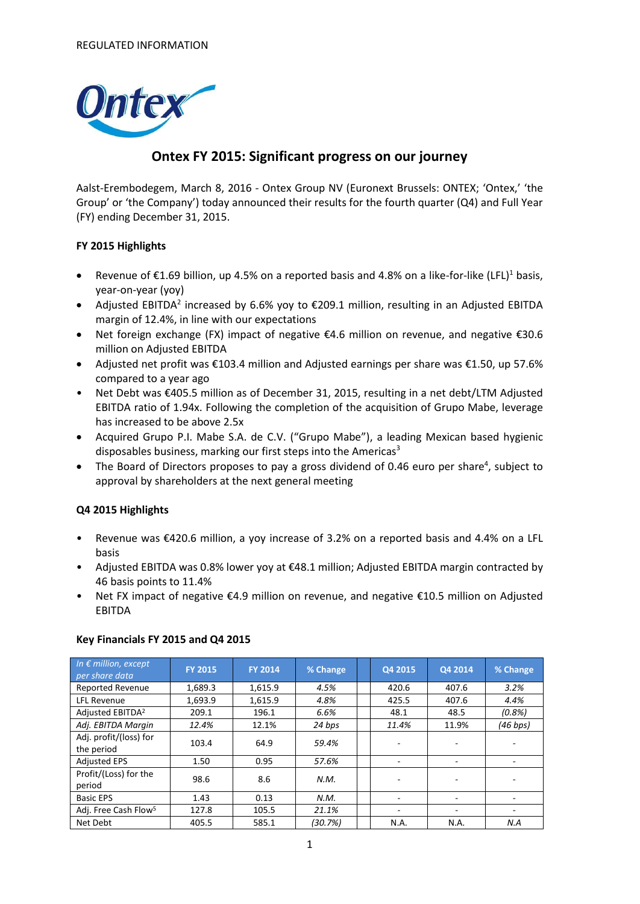

## **Ontex FY 2015: Significant progress on our journey**

Aalst-Erembodegem, March 8, 2016 - Ontex Group NV (Euronext Brussels: ONTEX; 'Ontex,' 'the Group' or 'the Company') today announced their results for the fourth quarter (Q4) and Full Year (FY) ending December 31, 2015.

#### **FY 2015 Highlights**

- Revenue of €1.69 billion, up 4.5% on a reported basis and 4.8% on a like-for-like (LFL)<sup>1</sup> basis, year-on-year (yoy)
- Adjusted EBITDA<sup>2</sup> increased by 6.6% yoy to  $\epsilon$ 209.1 million, resulting in an Adjusted EBITDA margin of 12.4%, in line with our expectations
- Net foreign exchange (FX) impact of negative €4.6 million on revenue, and negative €30.6 million on Adjusted EBITDA
- Adjusted net profit was €103.4 million and Adjusted earnings per share was €1.50, up 57.6% compared to a year ago
- Net Debt was €405.5 million as of December 31, 2015, resulting in a net debt/LTM Adjusted EBITDA ratio of 1.94x. Following the completion of the acquisition of Grupo Mabe, leverage has increased to be above 2.5x
- Acquired Grupo P.I. Mabe S.A. de C.V. ("Grupo Mabe"), a leading Mexican based hygienic disposables business, marking our first steps into the Americas<sup>3</sup>
- The Board of Directors proposes to pay a gross dividend of 0.46 euro per share<sup>4</sup>, subject to approval by shareholders at the next general meeting

#### **Q4 2015 Highlights**

- Revenue was €420.6 million, a yoy increase of 3.2% on a reported basis and 4.4% on a LFL basis
- Adjusted EBITDA was 0.8% lower yoy at €48.1 million; Adjusted EBITDA margin contracted by 46 basis points to 11.4%
- Net FX impact of negative €4.9 million on revenue, and negative €10.5 million on Adjusted EBITDA

| In $\epsilon$ million, except<br>per share data | <b>FY 2015</b> | <b>FY 2014</b> | % Change | Q4 2015 | Q4 2014 | % Change |
|-------------------------------------------------|----------------|----------------|----------|---------|---------|----------|
| <b>Reported Revenue</b>                         | 1,689.3        | 1,615.9        | 4.5%     | 420.6   | 407.6   | 3.2%     |
| <b>LFL Revenue</b>                              | 1,693.9        | 1,615.9        | 4.8%     | 425.5   | 407.6   | 4.4%     |
| Adjusted EBITDA <sup>2</sup>                    | 209.1          | 196.1          | 6.6%     | 48.1    | 48.5    | (0.8%    |
| Adj. EBITDA Margin                              | 12.4%          | 12.1%          | 24 bps   | 11.4%   | 11.9%   | (46 bps) |
| Adj. profit/(loss) for                          | 103.4          | 64.9           | 59.4%    |         |         |          |
| the period                                      |                |                |          |         |         |          |
| <b>Adjusted EPS</b>                             | 1.50           | 0.95           | 57.6%    |         |         |          |
| Profit/(Loss) for the<br>period                 | 98.6           | 8.6            | N.M.     |         |         |          |
| <b>Basic EPS</b>                                | 1.43           | 0.13           | N.M.     |         |         |          |
| Adj. Free Cash Flow <sup>5</sup>                | 127.8          | 105.5          | 21.1%    |         |         |          |
| Net Debt                                        | 405.5          | 585.1          | (30.7%)  | N.A.    | N.A.    | N.A      |

#### **Key Financials FY 2015 and Q4 2015**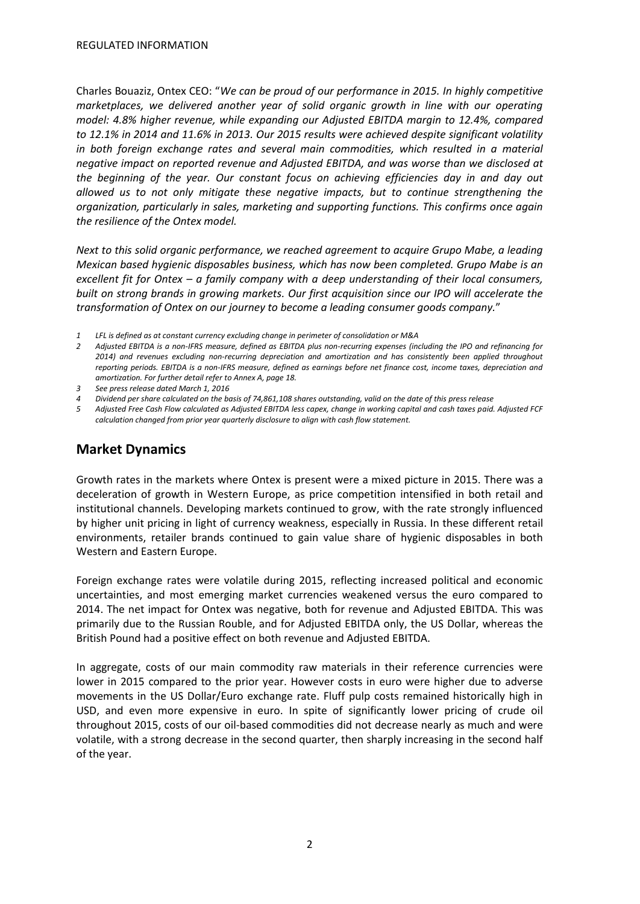Charles Bouaziz, Ontex CEO: "*We can be proud of our performance in 2015. In highly competitive marketplaces, we delivered another year of solid organic growth in line with our operating model: 4.8% higher revenue, while expanding our Adjusted EBITDA margin to 12.4%, compared to 12.1% in 2014 and 11.6% in 2013. Our 2015 results were achieved despite significant volatility*  in both foreign exchange rates and several main commodities, which resulted in a material *negative impact on reported revenue and Adjusted EBITDA, and was worse than we disclosed at the beginning of the year. Our constant focus on achieving efficiencies day in and day out allowed us to not only mitigate these negative impacts, but to continue strengthening the organization, particularly in sales, marketing and supporting functions. This confirms once again the resilience of the Ontex model.*

*Next to this solid organic performance, we reached agreement to acquire Grupo Mabe, a leading Mexican based hygienic disposables business, which has now been completed. Grupo Mabe is an excellent fit for Ontex – a family company with a deep understanding of their local consumers, built on strong brands in growing markets. Our first acquisition since our IPO will accelerate the transformation of Ontex on our journey to become a leading consumer goods company.*"

*2 Adjusted EBITDA is a non-IFRS measure, defined as EBITDA plus non-recurring expenses (including the IPO and refinancing for 2014) and revenues excluding non-recurring depreciation and amortization and has consistently been applied throughout reporting periods. EBITDA is a non-IFRS measure, defined as earnings before net finance cost, income taxes, depreciation and amortization. For further detail refer to Annex A, page 18.*

## **Market Dynamics**

Growth rates in the markets where Ontex is present were a mixed picture in 2015. There was a deceleration of growth in Western Europe, as price competition intensified in both retail and institutional channels. Developing markets continued to grow, with the rate strongly influenced by higher unit pricing in light of currency weakness, especially in Russia. In these different retail environments, retailer brands continued to gain value share of hygienic disposables in both Western and Eastern Europe.

Foreign exchange rates were volatile during 2015, reflecting increased political and economic uncertainties, and most emerging market currencies weakened versus the euro compared to 2014. The net impact for Ontex was negative, both for revenue and Adjusted EBITDA. This was primarily due to the Russian Rouble, and for Adjusted EBITDA only, the US Dollar, whereas the British Pound had a positive effect on both revenue and Adjusted EBITDA.

In aggregate, costs of our main commodity raw materials in their reference currencies were lower in 2015 compared to the prior year. However costs in euro were higher due to adverse movements in the US Dollar/Euro exchange rate. Fluff pulp costs remained historically high in USD, and even more expensive in euro. In spite of significantly lower pricing of crude oil throughout 2015, costs of our oil-based commodities did not decrease nearly as much and were volatile, with a strong decrease in the second quarter, then sharply increasing in the second half of the year.

*<sup>1</sup> LFL is defined as at constant currency excluding change in perimeter of consolidation or M&A*

*<sup>3</sup> See press release dated March 1, 2016*

*<sup>4</sup> Dividend per share calculated on the basis of 74,861,108 shares outstanding, valid on the date of this press release*

*<sup>5</sup> Adjusted Free Cash Flow calculated as Adjusted EBITDA less capex, change in working capital and cash taxes paid. Adjusted FCF calculation changed from prior year quarterly disclosure to align with cash flow statement.*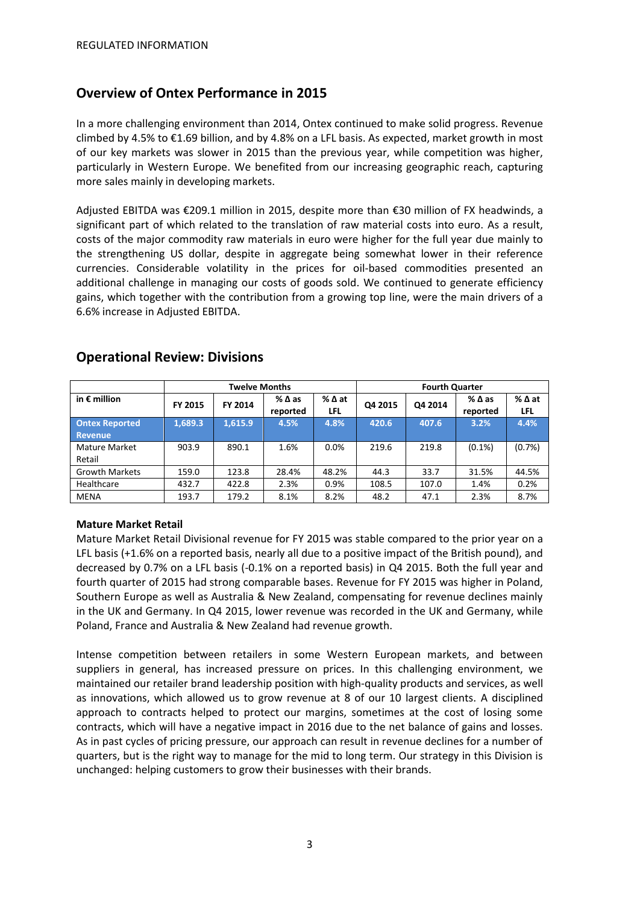## **Overview of Ontex Performance in 2015**

In a more challenging environment than 2014, Ontex continued to make solid progress. Revenue climbed by 4.5% to  $\epsilon$ 1.69 billion, and by 4.8% on a LFL basis. As expected, market growth in most of our key markets was slower in 2015 than the previous year, while competition was higher, particularly in Western Europe. We benefited from our increasing geographic reach, capturing more sales mainly in developing markets.

Adjusted EBITDA was €209.1 million in 2015, despite more than €30 million of FX headwinds, a significant part of which related to the translation of raw material costs into euro. As a result, costs of the major commodity raw materials in euro were higher for the full year due mainly to the strengthening US dollar, despite in aggregate being somewhat lower in their reference currencies. Considerable volatility in the prices for oil-based commodities presented an additional challenge in managing our costs of goods sold. We continued to generate efficiency gains, which together with the contribution from a growing top line, were the main drivers of a 6.6% increase in Adjusted EBITDA.

|                       | <b>Twelve Months</b> |         |                             |             |         | <b>Fourth Quarter</b> |                             |             |
|-----------------------|----------------------|---------|-----------------------------|-------------|---------|-----------------------|-----------------------------|-------------|
| in $\epsilon$ million | FY 2015              | FY 2014 | $%$ $\Delta$ as<br>reported | %∆at<br>LFL | Q4 2015 | Q4 2014               | $%$ $\Delta$ as<br>reported | %∆at<br>LFL |
| <b>Ontex Reported</b> | 1.689.3              | 1,615.9 | 4.5%                        | 4.8%        | 420.6   | 407.6                 | 3.2%                        | 4.4%        |
| <b>Revenue</b>        |                      |         |                             |             |         |                       |                             |             |
| Mature Market         | 903.9                | 890.1   | 1.6%                        | 0.0%        | 219.6   | 219.8                 | $(0.1\%)$                   | (0.7%)      |
| Retail                |                      |         |                             |             |         |                       |                             |             |
| <b>Growth Markets</b> | 159.0                | 123.8   | 28.4%                       | 48.2%       | 44.3    | 33.7                  | 31.5%                       | 44.5%       |
| Healthcare            | 432.7                | 422.8   | 2.3%                        | 0.9%        | 108.5   | 107.0                 | 1.4%                        | 0.2%        |
| <b>MENA</b>           | 193.7                | 179.2   | 8.1%                        | 8.2%        | 48.2    | 47.1                  | 2.3%                        | 8.7%        |

## **Operational Review: Divisions**

#### **Mature Market Retail**

Mature Market Retail Divisional revenue for FY 2015 was stable compared to the prior year on a LFL basis (+1.6% on a reported basis, nearly all due to a positive impact of the British pound), and decreased by 0.7% on a LFL basis (-0.1% on a reported basis) in Q4 2015. Both the full year and fourth quarter of 2015 had strong comparable bases. Revenue for FY 2015 was higher in Poland, Southern Europe as well as Australia & New Zealand, compensating for revenue declines mainly in the UK and Germany. In Q4 2015, lower revenue was recorded in the UK and Germany, while Poland, France and Australia & New Zealand had revenue growth.

Intense competition between retailers in some Western European markets, and between suppliers in general, has increased pressure on prices. In this challenging environment, we maintained our retailer brand leadership position with high-quality products and services, as well as innovations, which allowed us to grow revenue at 8 of our 10 largest clients. A disciplined approach to contracts helped to protect our margins, sometimes at the cost of losing some contracts, which will have a negative impact in 2016 due to the net balance of gains and losses. As in past cycles of pricing pressure, our approach can result in revenue declines for a number of quarters, but is the right way to manage for the mid to long term. Our strategy in this Division is unchanged: helping customers to grow their businesses with their brands.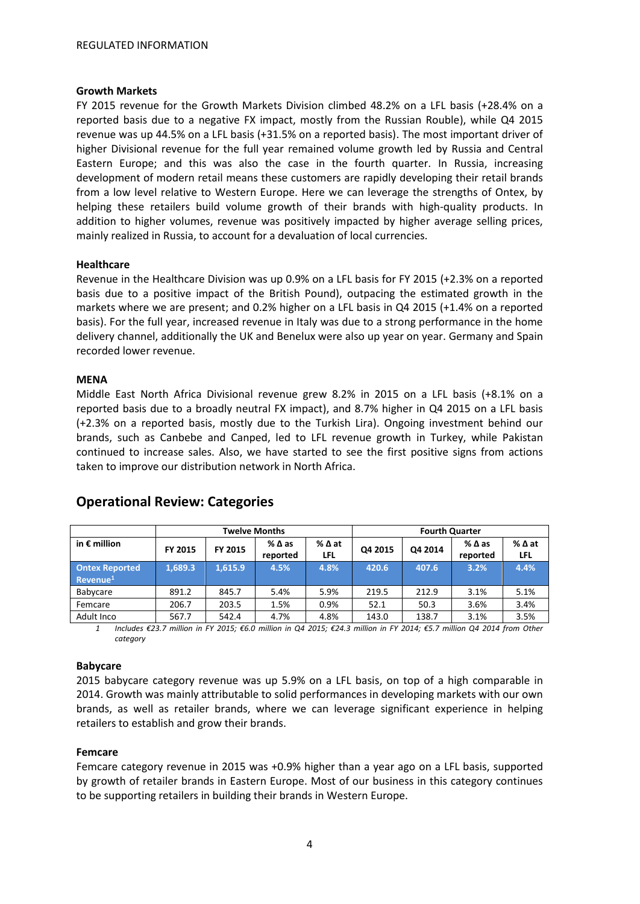#### **Growth Markets**

FY 2015 revenue for the Growth Markets Division climbed 48.2% on a LFL basis (+28.4% on a reported basis due to a negative FX impact, mostly from the Russian Rouble), while Q4 2015 revenue was up 44.5% on a LFL basis (+31.5% on a reported basis). The most important driver of higher Divisional revenue for the full year remained volume growth led by Russia and Central Eastern Europe; and this was also the case in the fourth quarter. In Russia, increasing development of modern retail means these customers are rapidly developing their retail brands from a low level relative to Western Europe. Here we can leverage the strengths of Ontex, by helping these retailers build volume growth of their brands with high-quality products. In addition to higher volumes, revenue was positively impacted by higher average selling prices, mainly realized in Russia, to account for a devaluation of local currencies.

#### **Healthcare**

Revenue in the Healthcare Division was up 0.9% on a LFL basis for FY 2015 (+2.3% on a reported basis due to a positive impact of the British Pound), outpacing the estimated growth in the markets where we are present; and 0.2% higher on a LFL basis in Q4 2015 (+1.4% on a reported basis). For the full year, increased revenue in Italy was due to a strong performance in the home delivery channel, additionally the UK and Benelux were also up year on year. Germany and Spain recorded lower revenue.

#### **MENA**

Middle East North Africa Divisional revenue grew 8.2% in 2015 on a LFL basis (+8.1% on a reported basis due to a broadly neutral FX impact), and 8.7% higher in Q4 2015 on a LFL basis (+2.3% on a reported basis, mostly due to the Turkish Lira). Ongoing investment behind our brands, such as Canbebe and Canped, led to LFL revenue growth in Turkey, while Pakistan continued to increase sales. Also, we have started to see the first positive signs from actions taken to improve our distribution network in North Africa.

|                                               | <b>Twelve Months</b> |         |                             | <b>Fourth Quarter</b> |         |         |                  |                    |
|-----------------------------------------------|----------------------|---------|-----------------------------|-----------------------|---------|---------|------------------|--------------------|
| in $\epsilon$ million                         | FY 2015              | FY 2015 | $%$ $\Delta$ as<br>reported | %∆at<br>LFL           | Q4 2015 | Q4 2014 | %∆as<br>reported | %∆at<br><b>LFL</b> |
| <b>Ontex Reported</b><br>Revenue <sup>1</sup> | 1.689.3              | 1.615.9 | 4.5%                        | 4.8%                  | 420.6   | 407.6   | 3.2%             | 4.4%               |
| Babycare                                      | 891.2                | 845.7   | 5.4%                        | 5.9%                  | 219.5   | 212.9   | 3.1%             | 5.1%               |
| Femcare                                       | 206.7                | 203.5   | 1.5%                        | 0.9%                  | 52.1    | 50.3    | 3.6%             | 3.4%               |
| Adult Inco                                    | 567.7                | 542.4   | 4.7%                        | 4.8%                  | 143.0   | 138.7   | 3.1%             | 3.5%               |

## **Operational Review: Categories**

*1 Includes €23.7 million in FY 2015; €6.0 million in Q4 2015; €24.3 million in FY 2014; €5.7 million Q4 2014 from Other category*

#### **Babycare**

2015 babycare category revenue was up 5.9% on a LFL basis, on top of a high comparable in 2014. Growth was mainly attributable to solid performances in developing markets with our own brands, as well as retailer brands, where we can leverage significant experience in helping retailers to establish and grow their brands.

#### **Femcare**

Femcare category revenue in 2015 was +0.9% higher than a year ago on a LFL basis, supported by growth of retailer brands in Eastern Europe. Most of our business in this category continues to be supporting retailers in building their brands in Western Europe.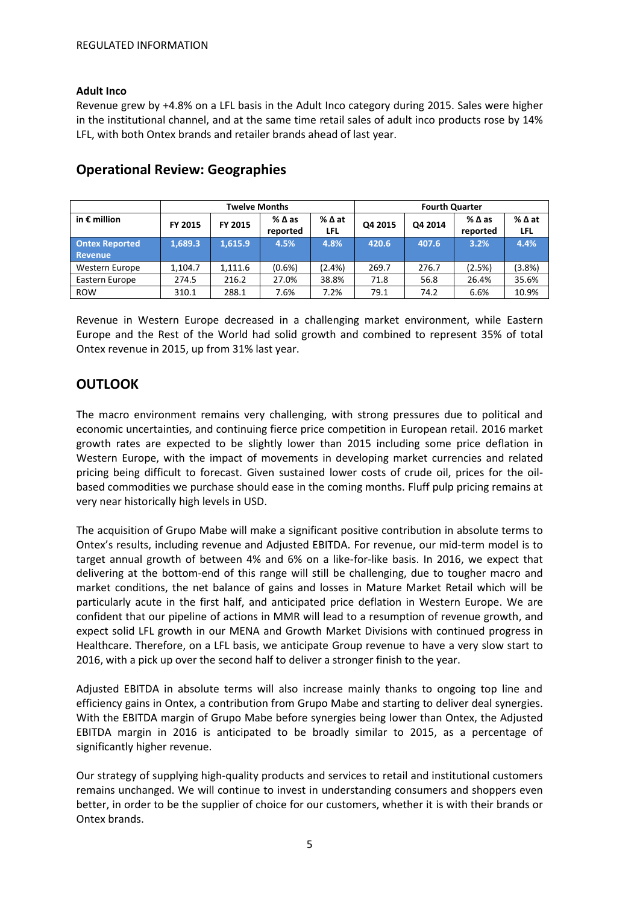#### **Adult Inco**

Revenue grew by +4.8% on a LFL basis in the Adult Inco category during 2015. Sales were higher in the institutional channel, and at the same time retail sales of adult inco products rose by 14% LFL, with both Ontex brands and retailer brands ahead of last year.

|                                         | <b>Twelve Months</b> |         |                  |                        |         | <b>Fourth Quarter</b> |                  |                    |
|-----------------------------------------|----------------------|---------|------------------|------------------------|---------|-----------------------|------------------|--------------------|
| in $\epsilon$ million                   | <b>FY 2015</b>       | FY 2015 | %∆as<br>reported | $%$ $\Delta$ at<br>LFL | Q4 2015 | Q4 2014               | %∆as<br>reported | %∆at<br><b>LFL</b> |
| <b>Ontex Reported</b><br><b>Revenue</b> | 1.689.3              | 1.615.9 | 4.5%             | 4.8%                   | 420.6   | 407.6                 | 3.2%             | 4.4%               |
| Western Europe                          | 1.104.7              | 1.111.6 | $(0.6\%)$        | (2.4%)                 | 269.7   | 276.7                 | (2.5%)           | $(3.8\%)$          |
| Eastern Europe                          | 274.5                | 216.2   | 27.0%            | 38.8%                  | 71.8    | 56.8                  | 26.4%            | 35.6%              |
| <b>ROW</b>                              | 310.1                | 288.1   | 7.6%             | 7.2%                   | 79.1    | 74.2                  | 6.6%             | 10.9%              |

## **Operational Review: Geographies**

Revenue in Western Europe decreased in a challenging market environment, while Eastern Europe and the Rest of the World had solid growth and combined to represent 35% of total Ontex revenue in 2015, up from 31% last year.

## **OUTLOOK**

The macro environment remains very challenging, with strong pressures due to political and economic uncertainties, and continuing fierce price competition in European retail. 2016 market growth rates are expected to be slightly lower than 2015 including some price deflation in Western Europe, with the impact of movements in developing market currencies and related pricing being difficult to forecast. Given sustained lower costs of crude oil, prices for the oilbased commodities we purchase should ease in the coming months. Fluff pulp pricing remains at very near historically high levels in USD.

The acquisition of Grupo Mabe will make a significant positive contribution in absolute terms to Ontex's results, including revenue and Adjusted EBITDA. For revenue, our mid-term model is to target annual growth of between 4% and 6% on a like-for-like basis. In 2016, we expect that delivering at the bottom-end of this range will still be challenging, due to tougher macro and market conditions, the net balance of gains and losses in Mature Market Retail which will be particularly acute in the first half, and anticipated price deflation in Western Europe. We are confident that our pipeline of actions in MMR will lead to a resumption of revenue growth, and expect solid LFL growth in our MENA and Growth Market Divisions with continued progress in Healthcare. Therefore, on a LFL basis, we anticipate Group revenue to have a very slow start to 2016, with a pick up over the second half to deliver a stronger finish to the year.

Adjusted EBITDA in absolute terms will also increase mainly thanks to ongoing top line and efficiency gains in Ontex, a contribution from Grupo Mabe and starting to deliver deal synergies. With the EBITDA margin of Grupo Mabe before synergies being lower than Ontex, the Adjusted EBITDA margin in 2016 is anticipated to be broadly similar to 2015, as a percentage of significantly higher revenue.

Our strategy of supplying high-quality products and services to retail and institutional customers remains unchanged. We will continue to invest in understanding consumers and shoppers even better, in order to be the supplier of choice for our customers, whether it is with their brands or Ontex brands.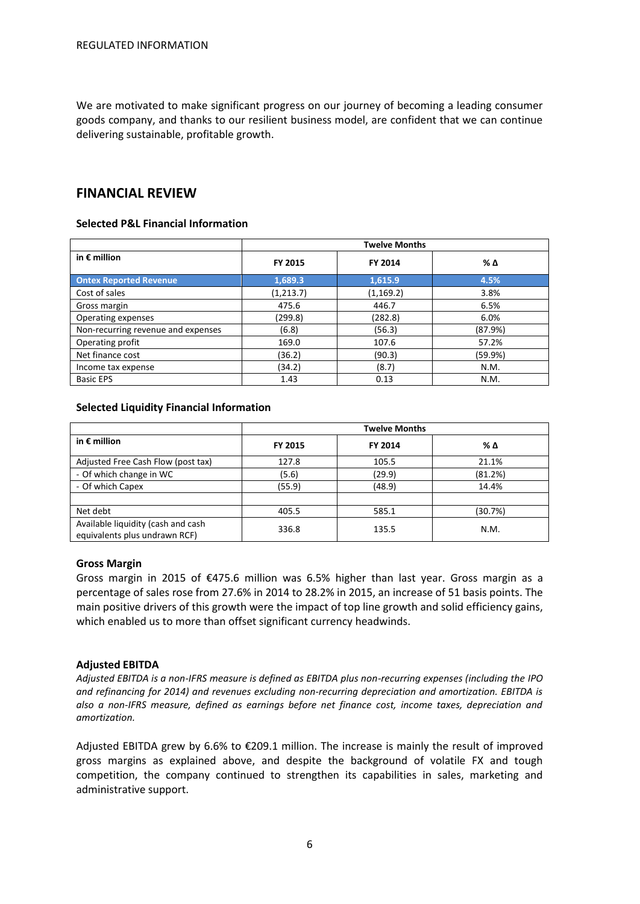We are motivated to make significant progress on our journey of becoming a leading consumer goods company, and thanks to our resilient business model, are confident that we can continue delivering sustainable, profitable growth.

## **FINANCIAL REVIEW**

#### **Selected P&L Financial Information**

|                                    |            | <b>Twelve Months</b> |         |
|------------------------------------|------------|----------------------|---------|
| in $\epsilon$ million              | FY 2015    | FY 2014              | % Δ     |
| <b>Ontex Reported Revenue</b>      | 1,689.3    | 1,615.9              | 4.5%    |
| Cost of sales                      | (1, 213.7) | (1, 169.2)           | 3.8%    |
| Gross margin                       | 475.6      | 446.7                | 6.5%    |
| Operating expenses                 | (299.8)    | (282.8)              | 6.0%    |
| Non-recurring revenue and expenses | (6.8)      | (56.3)               | (87.9%) |
| Operating profit                   | 169.0      | 107.6                | 57.2%   |
| Net finance cost                   | (36.2)     | (90.3)               | (59.9%) |
| Income tax expense                 | (34.2)     | (8.7)                | N.M.    |
| <b>Basic EPS</b>                   | 1.43       | 0.13                 | N.M.    |

#### **Selected Liquidity Financial Information**

|                                                                     |         | <b>Twelve Months</b> |         |
|---------------------------------------------------------------------|---------|----------------------|---------|
| in $\epsilon$ million                                               | FY 2015 | FY 2014              | % Δ     |
| Adjusted Free Cash Flow (post tax)                                  | 127.8   | 105.5                | 21.1%   |
| - Of which change in WC                                             | (5.6)   | (29.9)               | (81.2%) |
| - Of which Capex                                                    | (55.9)  | (48.9)               | 14.4%   |
|                                                                     |         |                      |         |
| Net debt                                                            | 405.5   | 585.1                | (30.7%) |
| Available liquidity (cash and cash<br>equivalents plus undrawn RCF) | 336.8   | 135.5                | N.M.    |

#### **Gross Margin**

Gross margin in 2015 of  $\epsilon$ 475.6 million was 6.5% higher than last year. Gross margin as a percentage of sales rose from 27.6% in 2014 to 28.2% in 2015, an increase of 51 basis points. The main positive drivers of this growth were the impact of top line growth and solid efficiency gains, which enabled us to more than offset significant currency headwinds.

#### **Adjusted EBITDA**

*Adjusted EBITDA is a non-IFRS measure is defined as EBITDA plus non-recurring expenses (including the IPO and refinancing for 2014) and revenues excluding non-recurring depreciation and amortization. EBITDA is also a non-IFRS measure, defined as earnings before net finance cost, income taxes, depreciation and amortization.*

Adjusted EBITDA grew by 6.6% to €209.1 million. The increase is mainly the result of improved gross margins as explained above, and despite the background of volatile FX and tough competition, the company continued to strengthen its capabilities in sales, marketing and administrative support.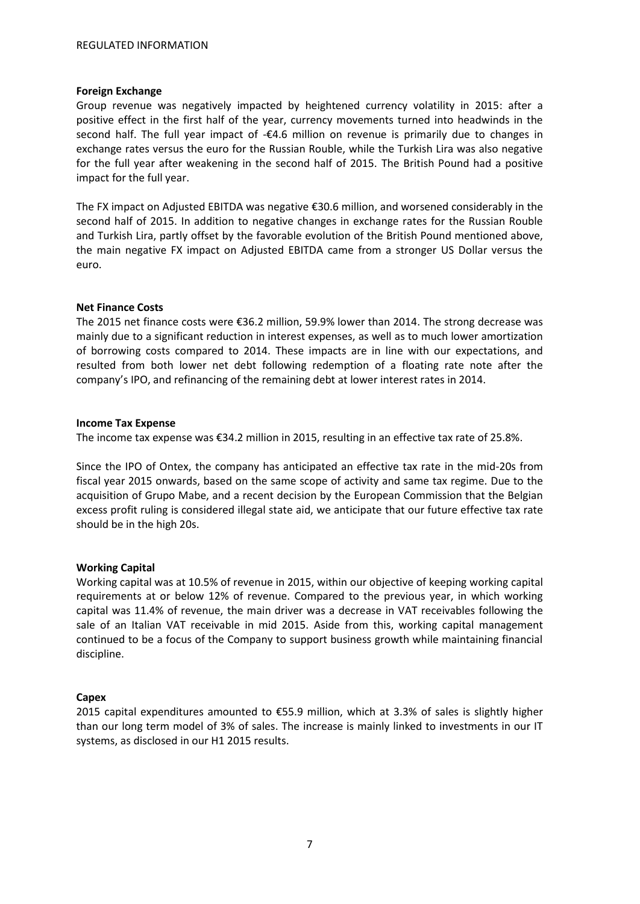#### **Foreign Exchange**

Group revenue was negatively impacted by heightened currency volatility in 2015: after a positive effect in the first half of the year, currency movements turned into headwinds in the second half. The full year impact of -€4.6 million on revenue is primarily due to changes in exchange rates versus the euro for the Russian Rouble, while the Turkish Lira was also negative for the full year after weakening in the second half of 2015. The British Pound had a positive impact for the full year.

The FX impact on Adjusted EBITDA was negative €30.6 million, and worsened considerably in the second half of 2015. In addition to negative changes in exchange rates for the Russian Rouble and Turkish Lira, partly offset by the favorable evolution of the British Pound mentioned above, the main negative FX impact on Adjusted EBITDA came from a stronger US Dollar versus the euro.

#### **Net Finance Costs**

The 2015 net finance costs were €36.2 million, 59.9% lower than 2014. The strong decrease was mainly due to a significant reduction in interest expenses, as well as to much lower amortization of borrowing costs compared to 2014. These impacts are in line with our expectations, and resulted from both lower net debt following redemption of a floating rate note after the company's IPO, and refinancing of the remaining debt at lower interest rates in 2014.

#### **Income Tax Expense**

The income tax expense was €34.2 million in 2015, resulting in an effective tax rate of 25.8%.

Since the IPO of Ontex, the company has anticipated an effective tax rate in the mid-20s from fiscal year 2015 onwards, based on the same scope of activity and same tax regime. Due to the acquisition of Grupo Mabe, and a recent decision by the European Commission that the Belgian excess profit ruling is considered illegal state aid, we anticipate that our future effective tax rate should be in the high 20s.

#### **Working Capital**

Working capital was at 10.5% of revenue in 2015, within our objective of keeping working capital requirements at or below 12% of revenue. Compared to the previous year, in which working capital was 11.4% of revenue, the main driver was a decrease in VAT receivables following the sale of an Italian VAT receivable in mid 2015. Aside from this, working capital management continued to be a focus of the Company to support business growth while maintaining financial discipline.

#### **Capex**

2015 capital expenditures amounted to €55.9 million, which at 3.3% of sales is slightly higher than our long term model of 3% of sales. The increase is mainly linked to investments in our IT systems, as disclosed in our H1 2015 results.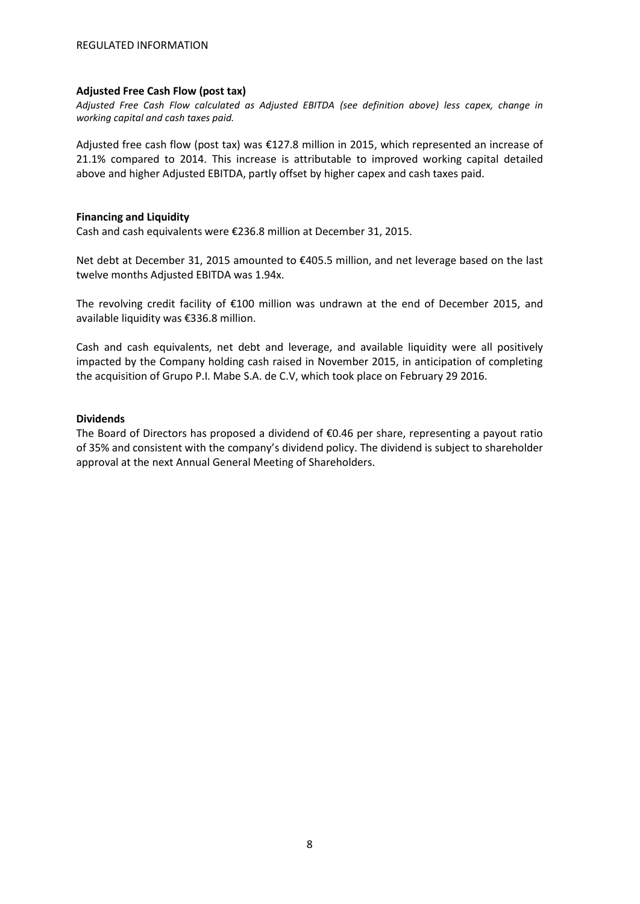#### **Adjusted Free Cash Flow (post tax)**

*Adjusted Free Cash Flow calculated as Adjusted EBITDA (see definition above) less capex, change in working capital and cash taxes paid.*

Adjusted free cash flow (post tax) was €127.8 million in 2015, which represented an increase of 21.1% compared to 2014. This increase is attributable to improved working capital detailed above and higher Adjusted EBITDA, partly offset by higher capex and cash taxes paid.

#### **Financing and Liquidity**

Cash and cash equivalents were €236.8 million at December 31, 2015.

Net debt at December 31, 2015 amounted to €405.5 million, and net leverage based on the last twelve months Adjusted EBITDA was 1.94x.

The revolving credit facility of €100 million was undrawn at the end of December 2015, and available liquidity was €336.8 million.

Cash and cash equivalents, net debt and leverage, and available liquidity were all positively impacted by the Company holding cash raised in November 2015, in anticipation of completing the acquisition of Grupo P.I. Mabe S.A. de C.V, which took place on February 29 2016.

#### **Dividends**

The Board of Directors has proposed a dividend of  $\epsilon$ 0.46 per share, representing a payout ratio of 35% and consistent with the company's dividend policy. The dividend is subject to shareholder approval at the next Annual General Meeting of Shareholders.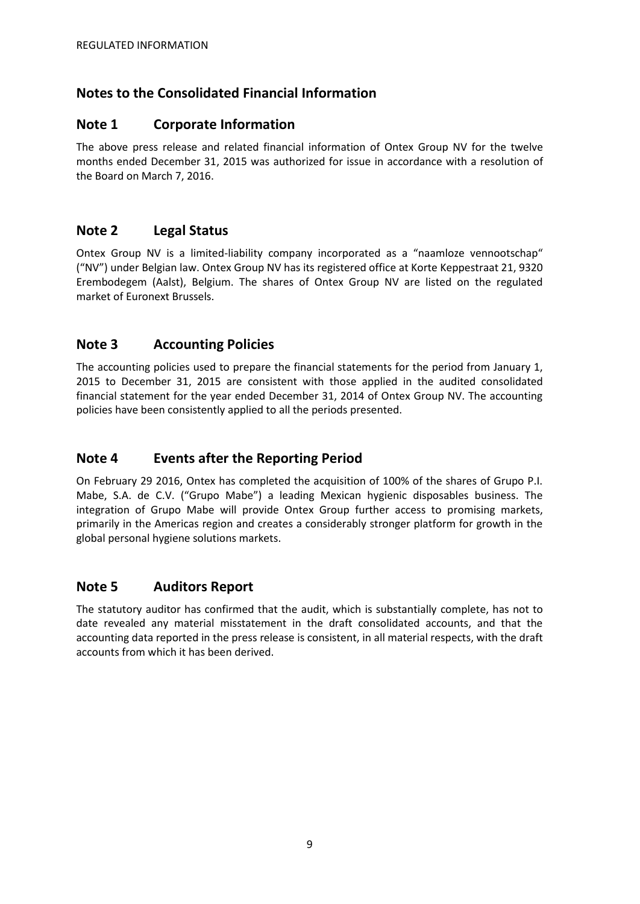## **Notes to the Consolidated Financial Information**

## **Note 1 Corporate Information**

The above press release and related financial information of Ontex Group NV for the twelve months ended December 31, 2015 was authorized for issue in accordance with a resolution of the Board on March 7, 2016.

## **Note 2 Legal Status**

Ontex Group NV is a limited-liability company incorporated as a "naamloze vennootschap" ("NV") under Belgian law. Ontex Group NV has its registered office at Korte Keppestraat 21, 9320 Erembodegem (Aalst), Belgium. The shares of Ontex Group NV are listed on the regulated market of Euronext Brussels.

## **Note 3 Accounting Policies**

The accounting policies used to prepare the financial statements for the period from January 1, 2015 to December 31, 2015 are consistent with those applied in the audited consolidated financial statement for the year ended December 31, 2014 of Ontex Group NV. The accounting policies have been consistently applied to all the periods presented.

## **Note 4 Events after the Reporting Period**

On February 29 2016, Ontex has completed the acquisition of 100% of the shares of Grupo P.I. Mabe, S.A. de C.V. ("Grupo Mabe") a leading Mexican hygienic disposables business. The integration of Grupo Mabe will provide Ontex Group further access to promising markets, primarily in the Americas region and creates a considerably stronger platform for growth in the global personal hygiene solutions markets.

## **Note 5 Auditors Report**

The statutory auditor has confirmed that the audit, which is substantially complete, has not to date revealed any material misstatement in the draft consolidated accounts, and that the accounting data reported in the press release is consistent, in all material respects, with the draft accounts from which it has been derived.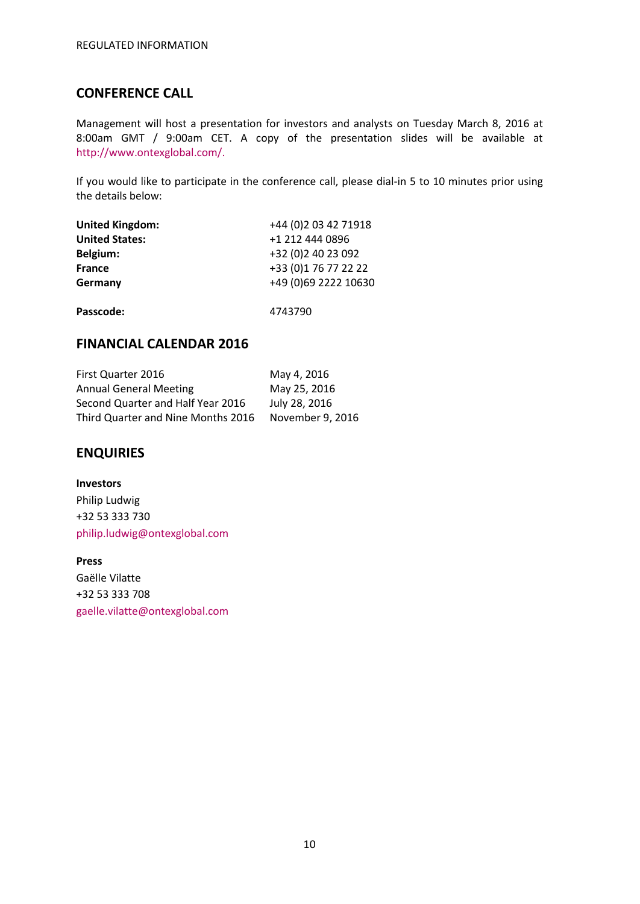## **CONFERENCE CALL**

Management will host a presentation for investors and analysts on Tuesday March 8, 2016 at 8:00am GMT / 9:00am CET. A copy of the presentation slides will be available at [http://www.ontexglobal.com/.](http://www.ontexglobal.com/)

If you would like to participate in the conference call, please dial-in 5 to 10 minutes prior using the details below:

| <b>United Kingdom:</b> | +44 (0) 2 03 42 71918 |
|------------------------|-----------------------|
| <b>United States:</b>  | +1 212 444 0896       |
| Belgium:               | +32 (0) 2 40 23 092   |
| <b>France</b>          | +33 (0) 1 76 77 22 22 |
| Germany                | +49 (0)69 2222 10630  |
| Passcode:              | 4743790               |

## **FINANCIAL CALENDAR 2016**

| <b>First Quarter 2016</b>          | May 4, 2016      |
|------------------------------------|------------------|
| <b>Annual General Meeting</b>      | May 25, 2016     |
| Second Quarter and Half Year 2016  | July 28, 2016    |
| Third Quarter and Nine Months 2016 | November 9, 2016 |

### **ENQUIRIES**

**Investors** Philip Ludwig +32 53 333 730 [philip.ludwig@ontexglobal.com](mailto:Philip.ludwig@ontexglobal.com)

**Press** Gaëlle Vilatte +32 53 333 708 [gaelle.vilatte@ontexglobal.com](mailto:Gaelle.vilatte@ontexglobal.com)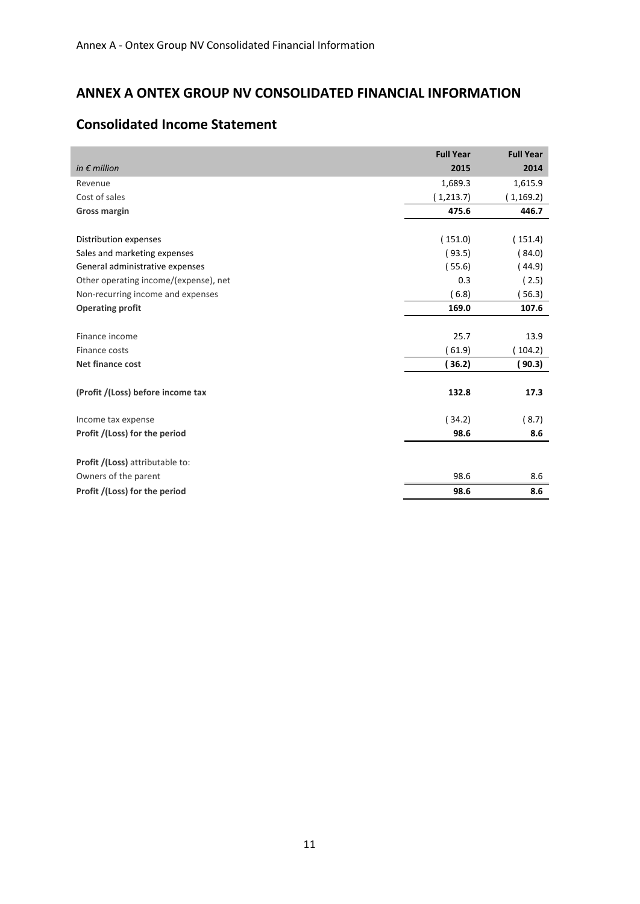# **ANNEX A ONTEX GROUP NV CONSOLIDATED FINANCIAL INFORMATION**

|                                       | <b>Full Year</b> | <b>Full Year</b> |
|---------------------------------------|------------------|------------------|
| in $\epsilon$ million                 | 2015             | 2014             |
| Revenue                               | 1,689.3          | 1,615.9          |
| Cost of sales                         | (1,213.7)        | (1, 169.2)       |
| <b>Gross margin</b>                   | 475.6            | 446.7            |
|                                       |                  |                  |
| Distribution expenses                 | (151.0)          | (151.4)          |
| Sales and marketing expenses          | (93.5)           | (84.0)           |
| General administrative expenses       | (55.6)           | (44.9)           |
| Other operating income/(expense), net | 0.3              | (2.5)            |
| Non-recurring income and expenses     | (6.8)            | (56.3)           |
| <b>Operating profit</b>               | 169.0            | 107.6            |
|                                       |                  |                  |
| Finance income                        | 25.7             | 13.9             |
| Finance costs                         | 61.9             | 104.2)           |
| <b>Net finance cost</b>               | (36.2)           | ( 90.3)          |
| (Profit /(Loss) before income tax     | 132.8            | 17.3             |
| Income tax expense                    | (34.2)           | (8.7)            |
| Profit /(Loss) for the period         | 98.6             | 8.6              |
|                                       |                  |                  |
| Profit /(Loss) attributable to:       |                  |                  |
| Owners of the parent                  | 98.6             | 8.6              |
| Profit /(Loss) for the period         | 98.6             | 8.6              |

# **Consolidated Income Statement**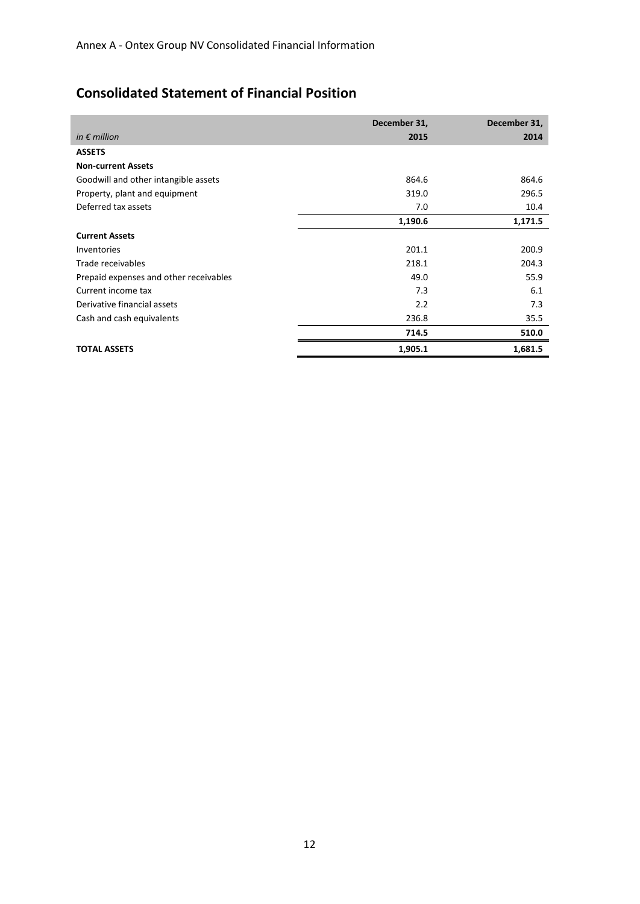# **Consolidated Statement of Financial Position**

|                                        | December 31, | December 31, |
|----------------------------------------|--------------|--------------|
| in $\epsilon$ million                  | 2015         | 2014         |
| <b>ASSETS</b>                          |              |              |
| <b>Non-current Assets</b>              |              |              |
| Goodwill and other intangible assets   | 864.6        | 864.6        |
| Property, plant and equipment          | 319.0        | 296.5        |
| Deferred tax assets                    | 7.0          | 10.4         |
|                                        | 1,190.6      | 1,171.5      |
| <b>Current Assets</b>                  |              |              |
| Inventories                            | 201.1        | 200.9        |
| Trade receivables                      | 218.1        | 204.3        |
| Prepaid expenses and other receivables | 49.0         | 55.9         |
| Current income tax                     | 7.3          | 6.1          |
| Derivative financial assets            | 2.2          | 7.3          |
| Cash and cash equivalents              | 236.8        | 35.5         |
|                                        | 714.5        | 510.0        |
| <b>TOTAL ASSETS</b>                    | 1,905.1      | 1,681.5      |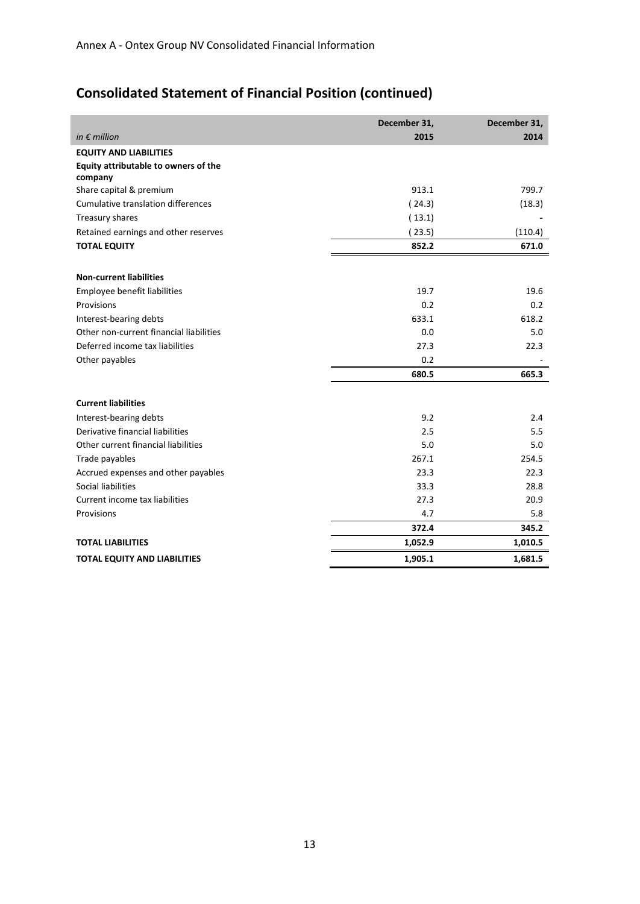# **Consolidated Statement of Financial Position (continued)**

|                                                 | December 31, | December 31, |
|-------------------------------------------------|--------------|--------------|
| in $\epsilon$ million                           | 2015         | 2014         |
| <b>EQUITY AND LIABILITIES</b>                   |              |              |
| Equity attributable to owners of the<br>company |              |              |
| Share capital & premium                         | 913.1        | 799.7        |
| Cumulative translation differences              | (24.3)       | (18.3)       |
| Treasury shares                                 | (13.1)       |              |
| Retained earnings and other reserves            | (23.5)       | (110.4)      |
| <b>TOTAL EQUITY</b>                             | 852.2        | 671.0        |
| <b>Non-current liabilities</b>                  |              |              |
| Employee benefit liabilities                    | 19.7         | 19.6         |
| Provisions                                      | 0.2          | 0.2          |
| Interest-bearing debts                          | 633.1        | 618.2        |
| Other non-current financial liabilities         | 0.0          | 5.0          |
| Deferred income tax liabilities                 | 27.3         | 22.3         |
| Other payables                                  | 0.2          |              |
|                                                 | 680.5        | 665.3        |
| <b>Current liabilities</b>                      |              |              |
| Interest-bearing debts                          | 9.2          | 2.4          |
| Derivative financial liabilities                | 2.5          | 5.5          |
| Other current financial liabilities             | 5.0          | 5.0          |
| Trade payables                                  | 267.1        | 254.5        |
| Accrued expenses and other payables             | 23.3         | 22.3         |
| Social liabilities                              | 33.3         | 28.8         |
| Current income tax liabilities                  | 27.3         | 20.9         |
| Provisions                                      | 4.7          | 5.8          |
|                                                 | 372.4        | 345.2        |
| <b>TOTAL LIABILITIES</b>                        | 1,052.9      | 1,010.5      |
| <b>TOTAL EQUITY AND LIABILITIES</b>             | 1,905.1      | 1,681.5      |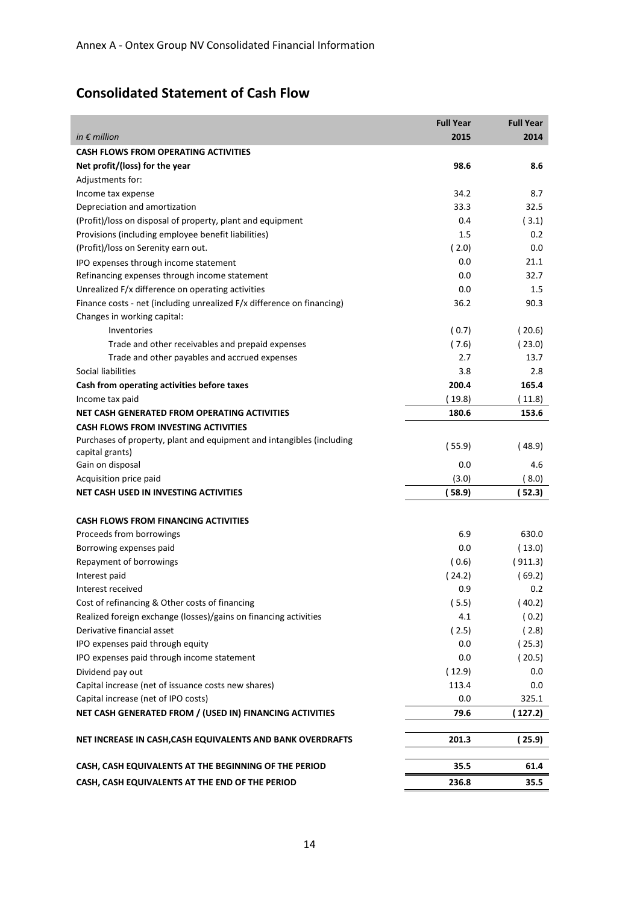# **Consolidated Statement of Cash Flow**

|                                                                        | <b>Full Year</b> | <b>Full Year</b> |
|------------------------------------------------------------------------|------------------|------------------|
| in $\epsilon$ million                                                  | 2015             | 2014             |
| <b>CASH FLOWS FROM OPERATING ACTIVITIES</b>                            |                  |                  |
| Net profit/(loss) for the year                                         | 98.6             | 8.6              |
| Adjustments for:                                                       |                  |                  |
| Income tax expense                                                     | 34.2             | 8.7              |
| Depreciation and amortization                                          | 33.3             | 32.5             |
| (Profit)/loss on disposal of property, plant and equipment             | 0.4              | (3.1)            |
| Provisions (including employee benefit liabilities)                    | 1.5              | 0.2              |
| (Profit)/loss on Serenity earn out.                                    | (2.0)            | 0.0              |
| IPO expenses through income statement                                  | 0.0              | 21.1             |
| Refinancing expenses through income statement                          | 0.0              | 32.7             |
| Unrealized F/x difference on operating activities                      | 0.0              | 1.5              |
| Finance costs - net (including unrealized F/x difference on financing) | 36.2             | 90.3             |
| Changes in working capital:                                            |                  |                  |
| Inventories                                                            | (0.7)            | (20.6)           |
| Trade and other receivables and prepaid expenses                       | (7.6)            | (23.0)           |
| Trade and other payables and accrued expenses                          | 2.7              | 13.7             |
| Social liabilities                                                     | 3.8              | 2.8              |
| Cash from operating activities before taxes                            | 200.4            | 165.4            |
| Income tax paid                                                        | (19.8)           | (11.8)           |
| NET CASH GENERATED FROM OPERATING ACTIVITIES                           | 180.6            | 153.6            |
| <b>CASH FLOWS FROM INVESTING ACTIVITIES</b>                            |                  |                  |
| Purchases of property, plant and equipment and intangibles (including  | (55.9)           | (48.9)           |
| capital grants)                                                        |                  |                  |
| Gain on disposal                                                       | 0.0              | 4.6              |
| Acquisition price paid                                                 | (3.0)            | (8.0)            |
| NET CASH USED IN INVESTING ACTIVITIES                                  | (58.9)           | ( 52.3)          |
| <b>CASH FLOWS FROM FINANCING ACTIVITIES</b>                            |                  |                  |
| Proceeds from borrowings                                               | 6.9              | 630.0            |
| Borrowing expenses paid                                                | 0.0              | (13.0)           |
| Repayment of borrowings                                                | (0.6)            | (911.3)          |
| Interest paid                                                          | (24.2)           | (69.2)           |
| Interest received                                                      | 0.9              | 0.2              |
| Cost of refinancing & Other costs of financing                         | (5.5)            | (40.2)           |
| Realized foreign exchange (losses)/gains on financing activities       | 4.1              | (0.2)            |
| Derivative financial asset                                             | (2.5)            | (2.8)            |
| IPO expenses paid through equity                                       | 0.0              | (25.3)           |
| IPO expenses paid through income statement                             | 0.0              | (20.5)           |
| Dividend pay out                                                       | (12.9)           | 0.0              |
| Capital increase (net of issuance costs new shares)                    | 113.4            | 0.0              |
| Capital increase (net of IPO costs)                                    | 0.0              | 325.1            |
| NET CASH GENERATED FROM / (USED IN) FINANCING ACTIVITIES               | 79.6             | (127.2)          |
|                                                                        |                  |                  |
| NET INCREASE IN CASH, CASH EQUIVALENTS AND BANK OVERDRAFTS             | 201.3            | (25.9)           |
| CASH, CASH EQUIVALENTS AT THE BEGINNING OF THE PERIOD                  | 35.5             | 61.4             |
| CASH, CASH EQUIVALENTS AT THE END OF THE PERIOD                        | 236.8            | 35.5             |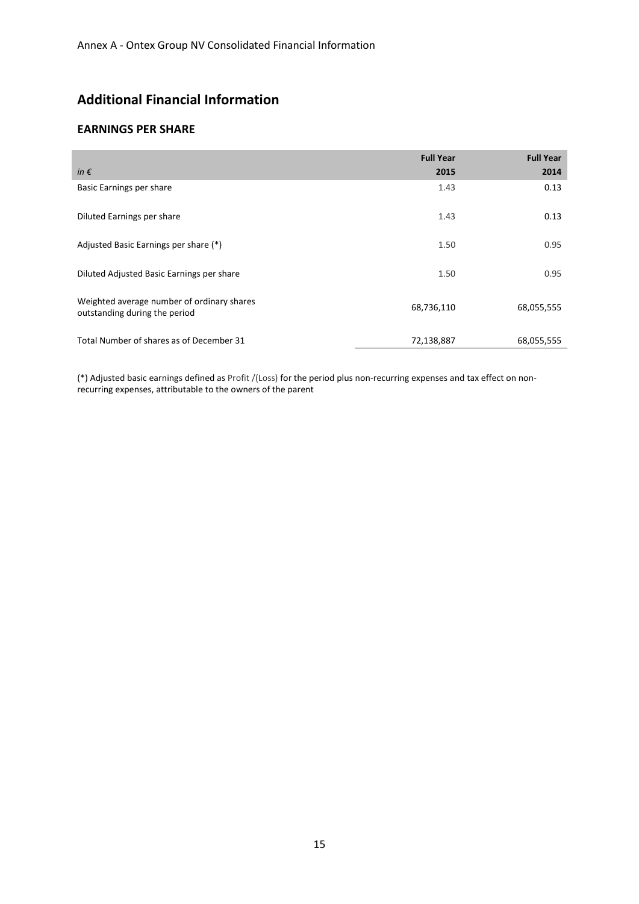## **Additional Financial Information**

#### **EARNINGS PER SHARE**

| in $\epsilon$                                                               | <b>Full Year</b><br>2015 | <b>Full Year</b><br>2014 |
|-----------------------------------------------------------------------------|--------------------------|--------------------------|
| Basic Earnings per share                                                    | 1.43                     | 0.13                     |
| Diluted Earnings per share                                                  | 1.43                     | 0.13                     |
| Adjusted Basic Earnings per share (*)                                       | 1.50                     | 0.95                     |
| Diluted Adjusted Basic Earnings per share                                   | 1.50                     | 0.95                     |
| Weighted average number of ordinary shares<br>outstanding during the period | 68,736,110               | 68,055,555               |
| Total Number of shares as of December 31                                    | 72,138,887               | 68,055,555               |

(\*) Adjusted basic earnings defined as Profit /(Loss) for the period plus non-recurring expenses and tax effect on nonrecurring expenses, attributable to the owners of the parent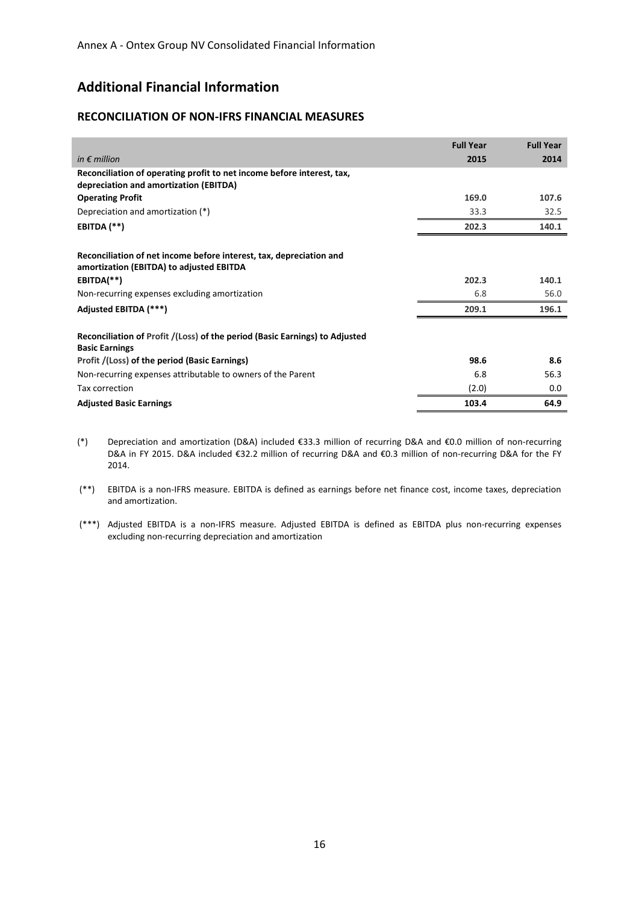## **Additional Financial Information**

#### **RECONCILIATION OF NON-IFRS FINANCIAL MEASURES**

|                                                                                                                  | <b>Full Year</b> | <b>Full Year</b> |
|------------------------------------------------------------------------------------------------------------------|------------------|------------------|
| in $\epsilon$ million                                                                                            | 2015             | 2014             |
| Reconciliation of operating profit to net income before interest, tax,<br>depreciation and amortization (EBITDA) |                  |                  |
| <b>Operating Profit</b>                                                                                          | 169.0            | 107.6            |
| Depreciation and amortization (*)                                                                                | 33.3             | 32.5             |
| EBITDA (**)                                                                                                      | 202.3            | 140.1            |
| Reconciliation of net income before interest, tax, depreciation and<br>amortization (EBITDA) to adjusted EBITDA  |                  |                  |
| EBITDA(**)                                                                                                       | 202.3            | 140.1            |
| Non-recurring expenses excluding amortization                                                                    | 6.8              | 56.0             |
| Adjusted EBITDA (***)                                                                                            | 209.1            | 196.1            |
| Reconciliation of Profit /(Loss) of the period (Basic Earnings) to Adjusted<br><b>Basic Earnings</b>             |                  |                  |
| Profit /(Loss) of the period (Basic Earnings)                                                                    | 98.6             | 8.6              |
| Non-recurring expenses attributable to owners of the Parent                                                      | 6.8              | 56.3             |
| Tax correction                                                                                                   | (2.0)            | 0.0              |
| <b>Adjusted Basic Earnings</b>                                                                                   | 103.4            | 64.9             |

- (\*) Depreciation and amortization (D&A) included €33.3 million of recurring D&A and €0.0 million of non-recurring D&A in FY 2015. D&A included €32.2 million of recurring D&A and €0.3 million of non-recurring D&A for the FY 2014.
- (\*\*) EBITDA is a non-IFRS measure. EBITDA is defined as earnings before net finance cost, income taxes, depreciation and amortization.
- (\*\*\*) Adjusted EBITDA is a non-IFRS measure. Adjusted EBITDA is defined as EBITDA plus non-recurring expenses excluding non-recurring depreciation and amortization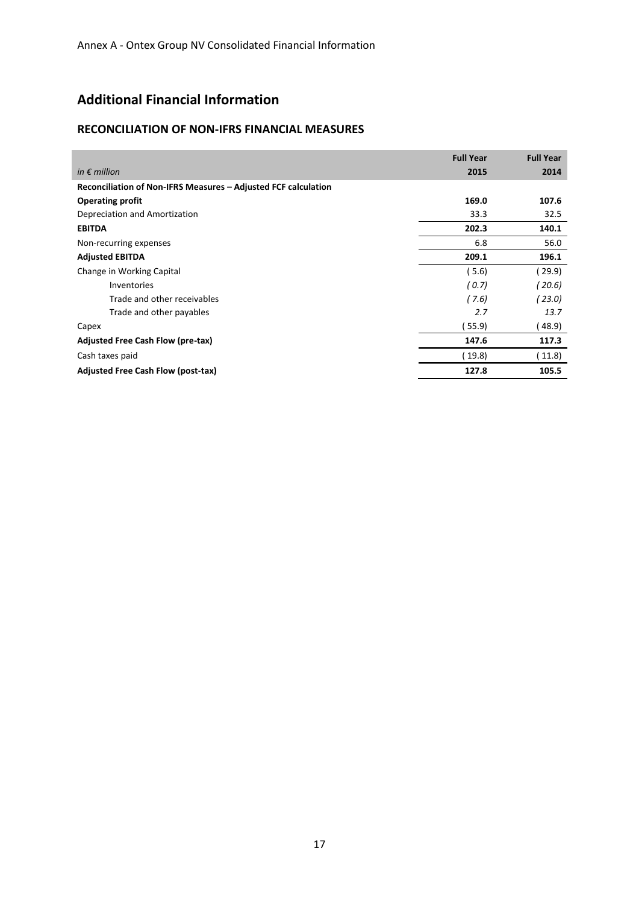## **Additional Financial Information**

#### **RECONCILIATION OF NON-IFRS FINANCIAL MEASURES**

|                                                                | <b>Full Year</b> | <b>Full Year</b> |
|----------------------------------------------------------------|------------------|------------------|
| in $\epsilon$ million                                          | 2015             | 2014             |
| Reconciliation of Non-IFRS Measures - Adjusted FCF calculation |                  |                  |
| <b>Operating profit</b>                                        | 169.0            | 107.6            |
| Depreciation and Amortization                                  | 33.3             | 32.5             |
| <b>EBITDA</b>                                                  | 202.3            | 140.1            |
| Non-recurring expenses                                         | 6.8              | 56.0             |
| <b>Adjusted EBITDA</b>                                         | 209.1            | 196.1            |
| Change in Working Capital                                      | (5.6)            | (29.9)           |
| Inventories                                                    | (0.7)            | (20.6)           |
| Trade and other receivables                                    | (7.6)            | ( 23.0)          |
| Trade and other payables                                       | 2.7              | 13.7             |
| Capex                                                          | 55.9             | 48.9)            |
| <b>Adjusted Free Cash Flow (pre-tax)</b>                       | 147.6            | 117.3            |
| Cash taxes paid                                                | (19.8)           | (11.8)           |
| Adjusted Free Cash Flow (post-tax)                             | 127.8            | 105.5            |